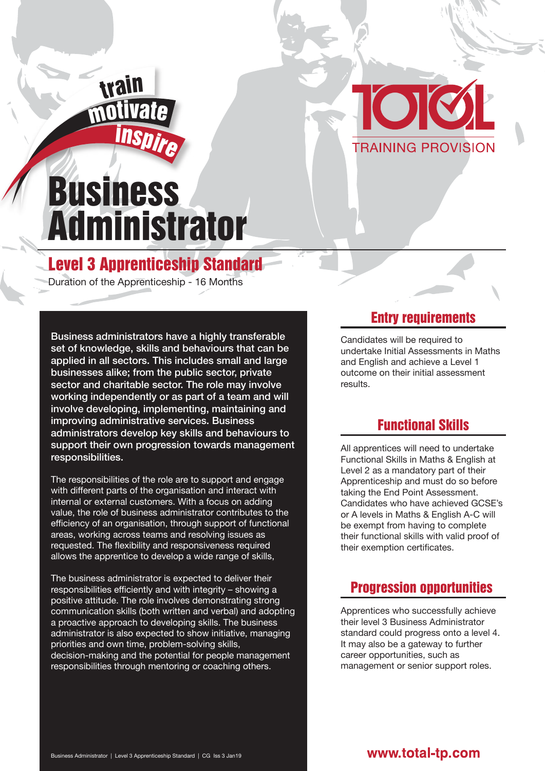



# Business Administrator

## Level 3 Apprenticeship Standard

Duration of the Apprenticeship - 16 Months

Business administrators have a highly transferable set of knowledge, skills and behaviours that can be applied in all sectors. This includes small and large businesses alike; from the public sector, private sector and charitable sector. The role may involve working independently or as part of a team and will involve developing, implementing, maintaining and improving administrative services. Business administrators develop key skills and behaviours to support their own progression towards management responsibilities.

The responsibilities of the role are to support and engage with different parts of the organisation and interact with internal or external customers. With a focus on adding value, the role of business administrator contributes to the efficiency of an organisation, through support of functional areas, working across teams and resolving issues as requested. The flexibility and responsiveness required allows the apprentice to develop a wide range of skills,

The business administrator is expected to deliver their responsibilities efficiently and with integrity – showing a positive attitude. The role involves demonstrating strong communication skills (both written and verbal) and adopting a proactive approach to developing skills. The business administrator is also expected to show initiative, managing priorities and own time, problem-solving skills, decision-making and the potential for people management responsibilities through mentoring or coaching others.

#### Entry requirements

Candidates will be required to undertake Initial Assessments in Maths and English and achieve a Level 1 outcome on their initial assessment results.

## Functional Skills

All apprentices will need to undertake Functional Skills in Maths & English at Level 2 as a mandatory part of their Apprenticeship and must do so before taking the End Point Assessment. Candidates who have achieved GCSE's or A levels in Maths & English A-C will be exempt from having to complete their functional skills with valid proof of their exemption certificates.

## Progression opportunities

Apprentices who successfully achieve their level 3 Business Administrator standard could progress onto a level 4. It may also be a gateway to further career opportunities, such as management or senior support roles.

#### www.total-tp.com